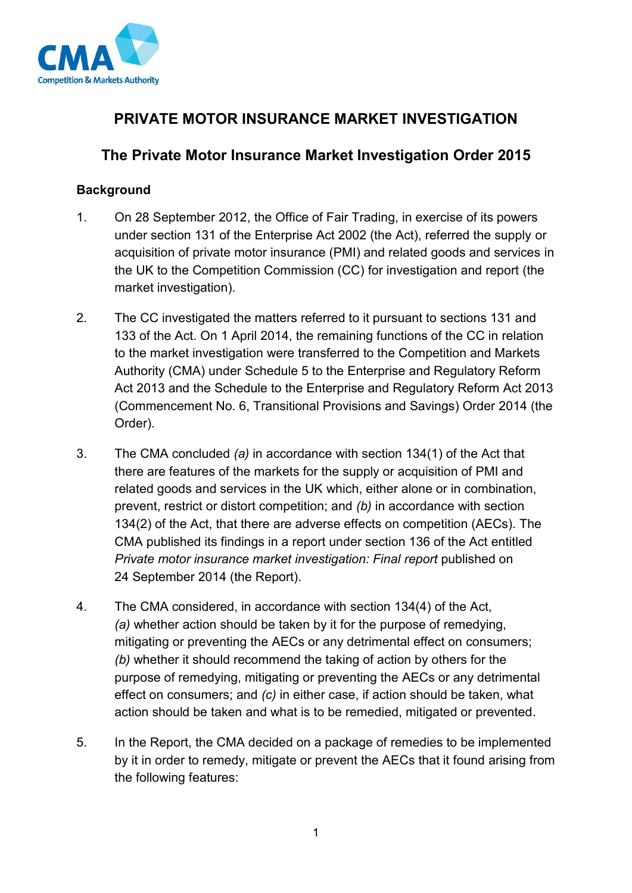

## **PRIVATE MOTOR INSURANCE MARKET INVESTIGATION**

## **The Private Motor Insurance Market Investigation Order 2015**

#### **Background**

- 1. On 28 September 2012, the Office of Fair Trading, in exercise of its powers under section 131 of the Enterprise Act 2002 (the Act), referred the supply or acquisition of private motor insurance (PMI) and related goods and services in the UK to the Competition Commission (CC) for investigation and report (the market investigation).
- 2. The CC investigated the matters referred to it pursuant to sections 131 and 133 of the Act. On 1 April 2014, the remaining functions of the CC in relation to the market investigation were transferred to the Competition and Markets Authority (CMA) under Schedule 5 to the Enterprise and Regulatory Reform Act 2013 and the Schedule to the Enterprise and Regulatory Reform Act 2013 (Commencement No. 6, Transitional Provisions and Savings) Order 2014 (the Order).
- 3. The CMA concluded *(a)* in accordance with section 134(1) of the Act that there are features of the markets for the supply or acquisition of PMI and related goods and services in the UK which, either alone or in combination, prevent, restrict or distort competition; and *(b)* in accordance with section 134(2) of the Act, that there are adverse effects on competition (AECs). The CMA published its findings in a report under section 136 of the Act entitled *Private motor insurance market investigation: Final report* published on 24 September 2014 (the Report).
- 4. The CMA considered, in accordance with section 134(4) of the Act, *(a)* whether action should be taken by it for the purpose of remedying, mitigating or preventing the AECs or any detrimental effect on consumers; *(b)* whether it should recommend the taking of action by others for the purpose of remedying, mitigating or preventing the AECs or any detrimental effect on consumers; and *(c)* in either case, if action should be taken, what action should be taken and what is to be remedied, mitigated or prevented.
- 5. In the Report, the CMA decided on a package of remedies to be implemented by it in order to remedy, mitigate or prevent the AECs that it found arising from the following features: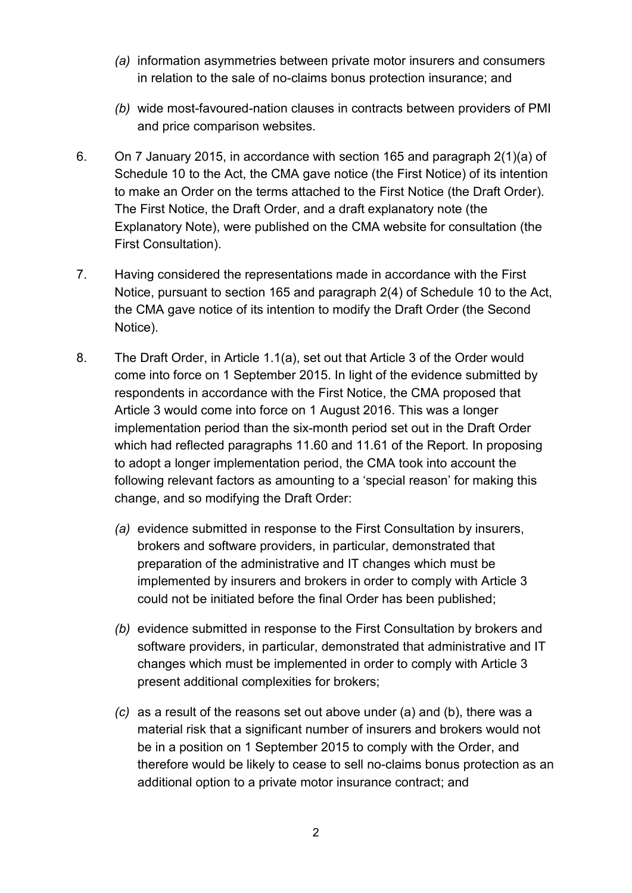- *(a)* information asymmetries between private motor insurers and consumers in relation to the sale of no-claims bonus protection insurance; and
- *(b)* wide most-favoured-nation clauses in contracts between providers of PMI and price comparison websites.
- 6. On 7 January 2015, in accordance with section 165 and paragraph 2(1)(a) of Schedule 10 to the Act, the CMA gave notice (the First Notice) of its intention to make an Order on the terms attached to the First Notice (the Draft Order). The First Notice, the Draft Order, and a draft explanatory note (the Explanatory Note), were published on the CMA website for consultation (the First Consultation).
- 7. Having considered the representations made in accordance with the First Notice, pursuant to section 165 and paragraph 2(4) of Schedule 10 to the Act, the CMA gave notice of its intention to modify the Draft Order (the Second Notice).
- 8. The Draft Order, in Article 1.1(a), set out that Article 3 of the Order would come into force on 1 September 2015. In light of the evidence submitted by respondents in accordance with the First Notice, the CMA proposed that Article 3 would come into force on 1 August 2016. This was a longer implementation period than the six-month period set out in the Draft Order which had reflected paragraphs 11.60 and 11.61 of the Report. In proposing to adopt a longer implementation period, the CMA took into account the following relevant factors as amounting to a 'special reason' for making this change, and so modifying the Draft Order:
	- *(a)* evidence submitted in response to the First Consultation by insurers, brokers and software providers, in particular, demonstrated that preparation of the administrative and IT changes which must be implemented by insurers and brokers in order to comply with Article 3 could not be initiated before the final Order has been published;
	- *(b)* evidence submitted in response to the First Consultation by brokers and software providers, in particular, demonstrated that administrative and IT changes which must be implemented in order to comply with Article 3 present additional complexities for brokers;
	- *(c)* as a result of the reasons set out above under (a) and (b), there was a material risk that a significant number of insurers and brokers would not be in a position on 1 September 2015 to comply with the Order, and therefore would be likely to cease to sell no-claims bonus protection as an additional option to a private motor insurance contract; and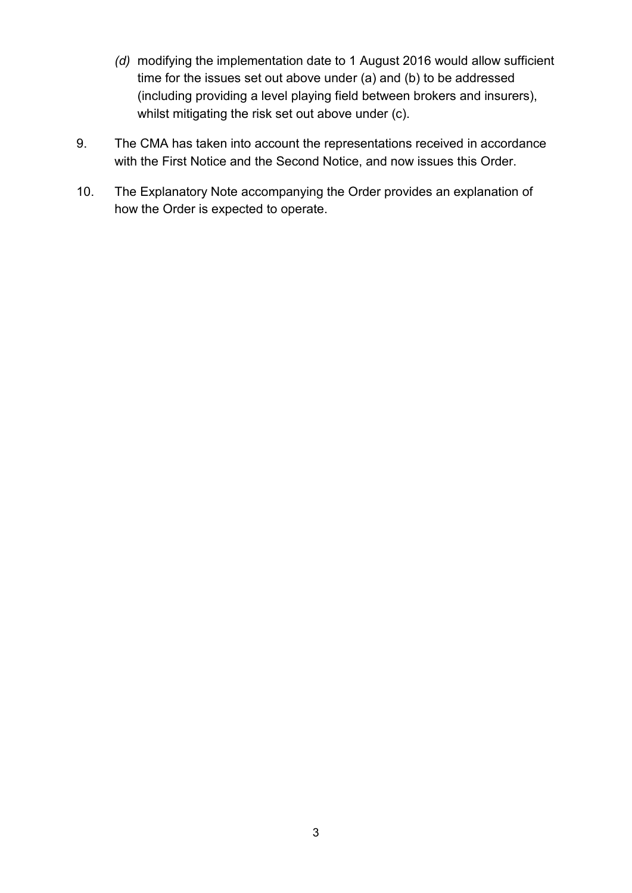- *(d)* modifying the implementation date to 1 August 2016 would allow sufficient time for the issues set out above under (a) and (b) to be addressed (including providing a level playing field between brokers and insurers), whilst mitigating the risk set out above under (c).
- 9. The CMA has taken into account the representations received in accordance with the First Notice and the Second Notice, and now issues this Order.
- 10. The Explanatory Note accompanying the Order provides an explanation of how the Order is expected to operate.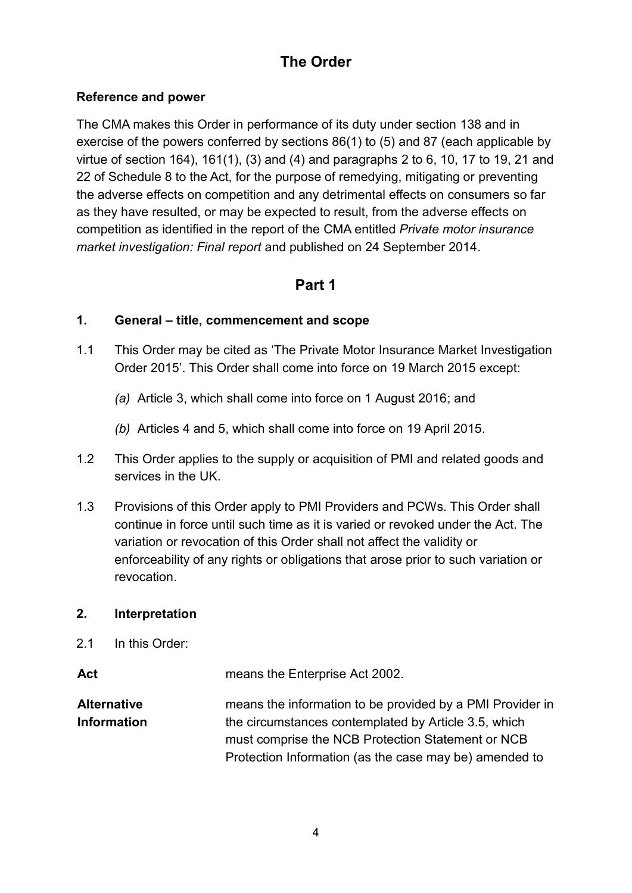## **The Order**

#### **Reference and power**

The CMA makes this Order in performance of its duty under section 138 and in exercise of the powers conferred by sections 86(1) to (5) and 87 (each applicable by virtue of section 164), 161(1), (3) and (4) and paragraphs 2 to 6, 10, 17 to 19, 21 and 22 of Schedule 8 to the Act, for the purpose of remedying, mitigating or preventing the adverse effects on competition and any detrimental effects on consumers so far as they have resulted, or may be expected to result, from the adverse effects on competition as identified in the report of the CMA entitled *Private motor insurance market investigation: Final report* and published on 24 September 2014.

## **Part 1**

#### **1. General – title, commencement and scope**

- 1.1 This Order may be cited as 'The Private Motor Insurance Market Investigation Order 2015'. This Order shall come into force on 19 March 2015 except:
	- *(a)* Article 3, which shall come into force on 1 August 2016; and
	- *(b)* Articles 4 and 5, which shall come into force on 19 April 2015.
- 1.2 This Order applies to the supply or acquisition of PMI and related goods and services in the UK.
- 1.3 Provisions of this Order apply to PMI Providers and PCWs. This Order shall continue in force until such time as it is varied or revoked under the Act. The variation or revocation of this Order shall not affect the validity or enforceability of any rights or obligations that arose prior to such variation or revocation.

#### **2. Interpretation**

2.1 In this Order:

Act means the Enterprise Act 2002.

**Alternative Information** means the information to be provided by a PMI Provider in the circumstances contemplated by Article 3.5, which must comprise the NCB Protection Statement or NCB Protection Information (as the case may be) amended to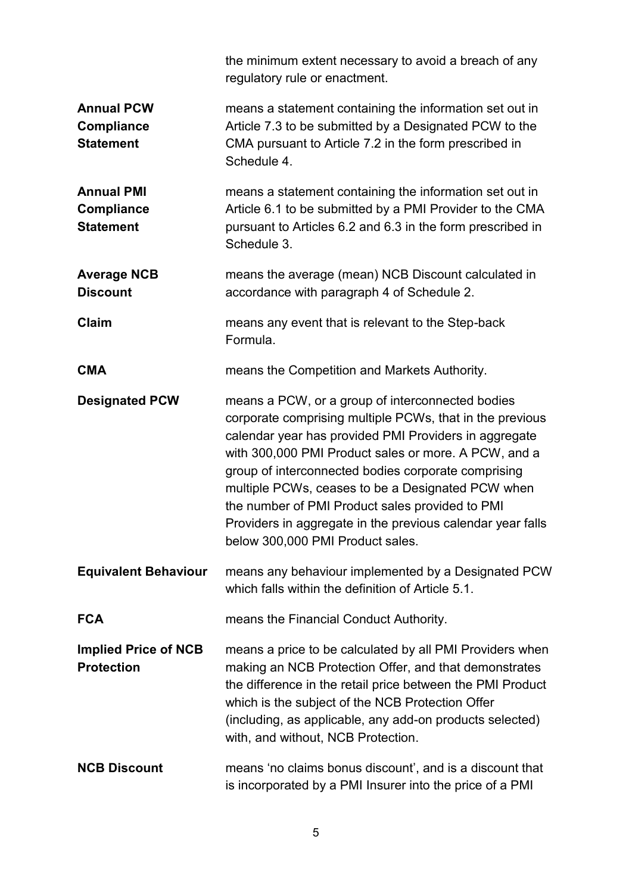|                                                            | the minimum extent necessary to avoid a breach of any<br>regulatory rule or enactment.                                                                                                                                                                                                                                                                                                                                                                                                         |  |
|------------------------------------------------------------|------------------------------------------------------------------------------------------------------------------------------------------------------------------------------------------------------------------------------------------------------------------------------------------------------------------------------------------------------------------------------------------------------------------------------------------------------------------------------------------------|--|
| <b>Annual PCW</b><br><b>Compliance</b><br><b>Statement</b> | means a statement containing the information set out in<br>Article 7.3 to be submitted by a Designated PCW to the<br>CMA pursuant to Article 7.2 in the form prescribed in<br>Schedule 4.                                                                                                                                                                                                                                                                                                      |  |
| <b>Annual PMI</b><br><b>Compliance</b><br><b>Statement</b> | means a statement containing the information set out in<br>Article 6.1 to be submitted by a PMI Provider to the CMA<br>pursuant to Articles 6.2 and 6.3 in the form prescribed in<br>Schedule 3.                                                                                                                                                                                                                                                                                               |  |
| <b>Average NCB</b><br><b>Discount</b>                      | means the average (mean) NCB Discount calculated in<br>accordance with paragraph 4 of Schedule 2.                                                                                                                                                                                                                                                                                                                                                                                              |  |
| Claim                                                      | means any event that is relevant to the Step-back<br>Formula.                                                                                                                                                                                                                                                                                                                                                                                                                                  |  |
| <b>CMA</b>                                                 | means the Competition and Markets Authority.                                                                                                                                                                                                                                                                                                                                                                                                                                                   |  |
| <b>Designated PCW</b>                                      | means a PCW, or a group of interconnected bodies<br>corporate comprising multiple PCWs, that in the previous<br>calendar year has provided PMI Providers in aggregate<br>with 300,000 PMI Product sales or more. A PCW, and a<br>group of interconnected bodies corporate comprising<br>multiple PCWs, ceases to be a Designated PCW when<br>the number of PMI Product sales provided to PMI<br>Providers in aggregate in the previous calendar year falls<br>below 300,000 PMI Product sales. |  |
| <b>Equivalent Behaviour</b>                                | means any behaviour implemented by a Designated PCW<br>which falls within the definition of Article 5.1.                                                                                                                                                                                                                                                                                                                                                                                       |  |
| <b>FCA</b>                                                 | means the Financial Conduct Authority.                                                                                                                                                                                                                                                                                                                                                                                                                                                         |  |
| <b>Implied Price of NCB</b><br><b>Protection</b>           | means a price to be calculated by all PMI Providers when<br>making an NCB Protection Offer, and that demonstrates<br>the difference in the retail price between the PMI Product<br>which is the subject of the NCB Protection Offer<br>(including, as applicable, any add-on products selected)<br>with, and without, NCB Protection.                                                                                                                                                          |  |
| <b>NCB Discount</b>                                        | means 'no claims bonus discount', and is a discount that<br>is incorporated by a PMI Insurer into the price of a PMI                                                                                                                                                                                                                                                                                                                                                                           |  |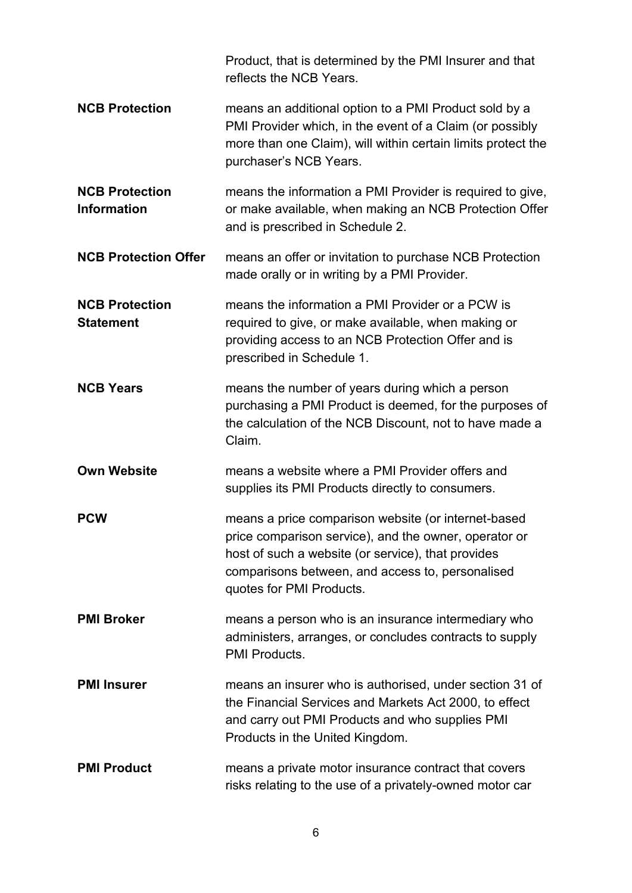|                                             | Product, that is determined by the PMI Insurer and that<br>reflects the NCB Years.                                                                                                                                                                 |
|---------------------------------------------|----------------------------------------------------------------------------------------------------------------------------------------------------------------------------------------------------------------------------------------------------|
| <b>NCB Protection</b>                       | means an additional option to a PMI Product sold by a<br>PMI Provider which, in the event of a Claim (or possibly<br>more than one Claim), will within certain limits protect the<br>purchaser's NCB Years.                                        |
| <b>NCB Protection</b><br><b>Information</b> | means the information a PMI Provider is required to give,<br>or make available, when making an NCB Protection Offer<br>and is prescribed in Schedule 2.                                                                                            |
| <b>NCB Protection Offer</b>                 | means an offer or invitation to purchase NCB Protection<br>made orally or in writing by a PMI Provider.                                                                                                                                            |
| <b>NCB Protection</b><br><b>Statement</b>   | means the information a PMI Provider or a PCW is<br>required to give, or make available, when making or<br>providing access to an NCB Protection Offer and is<br>prescribed in Schedule 1.                                                         |
| <b>NCB Years</b>                            | means the number of years during which a person<br>purchasing a PMI Product is deemed, for the purposes of<br>the calculation of the NCB Discount, not to have made a<br>Claim.                                                                    |
| <b>Own Website</b>                          | means a website where a PMI Provider offers and<br>supplies its PMI Products directly to consumers.                                                                                                                                                |
| <b>PCW</b>                                  | means a price comparison website (or internet-based<br>price comparison service), and the owner, operator or<br>host of such a website (or service), that provides<br>comparisons between, and access to, personalised<br>quotes for PMI Products. |
| <b>PMI Broker</b>                           | means a person who is an insurance intermediary who<br>administers, arranges, or concludes contracts to supply<br>PMI Products.                                                                                                                    |
| <b>PMI Insurer</b>                          | means an insurer who is authorised, under section 31 of<br>the Financial Services and Markets Act 2000, to effect<br>and carry out PMI Products and who supplies PMI<br>Products in the United Kingdom.                                            |
| <b>PMI Product</b>                          | means a private motor insurance contract that covers<br>risks relating to the use of a privately-owned motor car                                                                                                                                   |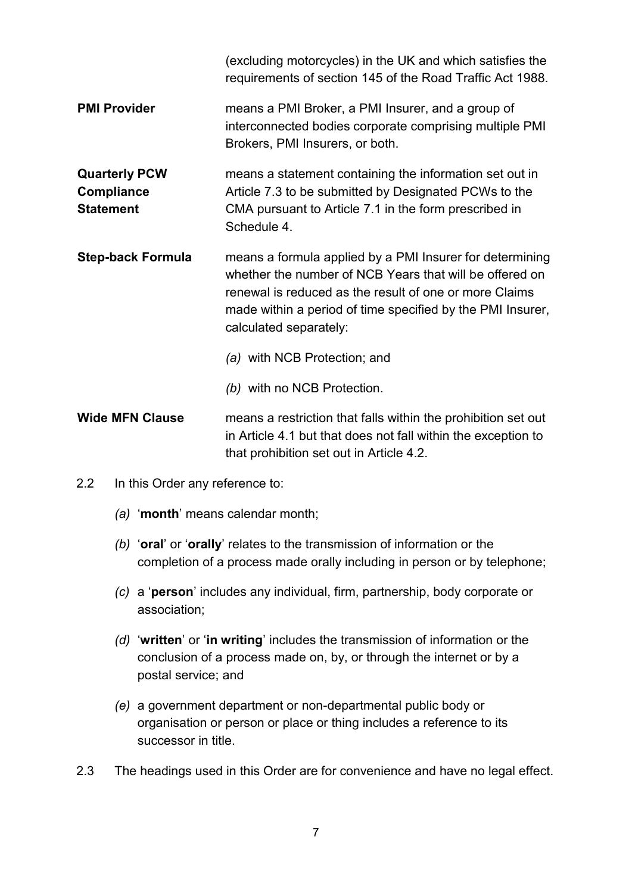|                                                               | (excluding motorcycles) in the UK and which satisfies the<br>requirements of section 145 of the Road Traffic Act 1988.                                                                                                                                                |  |
|---------------------------------------------------------------|-----------------------------------------------------------------------------------------------------------------------------------------------------------------------------------------------------------------------------------------------------------------------|--|
| <b>PMI Provider</b>                                           | means a PMI Broker, a PMI Insurer, and a group of<br>interconnected bodies corporate comprising multiple PMI<br>Brokers, PMI Insurers, or both.                                                                                                                       |  |
| <b>Quarterly PCW</b><br><b>Compliance</b><br><b>Statement</b> | means a statement containing the information set out in<br>Article 7.3 to be submitted by Designated PCWs to the<br>CMA pursuant to Article 7.1 in the form prescribed in<br>Schedule 4.                                                                              |  |
| <b>Step-back Formula</b>                                      | means a formula applied by a PMI Insurer for determining<br>whether the number of NCB Years that will be offered on<br>renewal is reduced as the result of one or more Claims<br>made within a period of time specified by the PMI Insurer,<br>calculated separately: |  |
|                                                               | (a) with NCB Protection; and                                                                                                                                                                                                                                          |  |
|                                                               | (b) with no NCB Protection.                                                                                                                                                                                                                                           |  |
| <b>Wide MFN Clause</b>                                        | means a restriction that falls within the prohibition set out<br>in Article 4.1 but that does not fall within the exception to<br>that prohibition set out in Article 4.2.                                                                                            |  |

- 2.2 In this Order any reference to:
	- *(a)* '**month**' means calendar month;
	- *(b)* '**oral**' or '**orally**' relates to the transmission of information or the completion of a process made orally including in person or by telephone;
	- *(c)* a '**person**' includes any individual, firm, partnership, body corporate or association;
	- *(d)* '**written**' or '**in writing**' includes the transmission of information or the conclusion of a process made on, by, or through the internet or by a postal service; and
	- *(e)* a government department or non-departmental public body or organisation or person or place or thing includes a reference to its successor in title.
- 2.3 The headings used in this Order are for convenience and have no legal effect.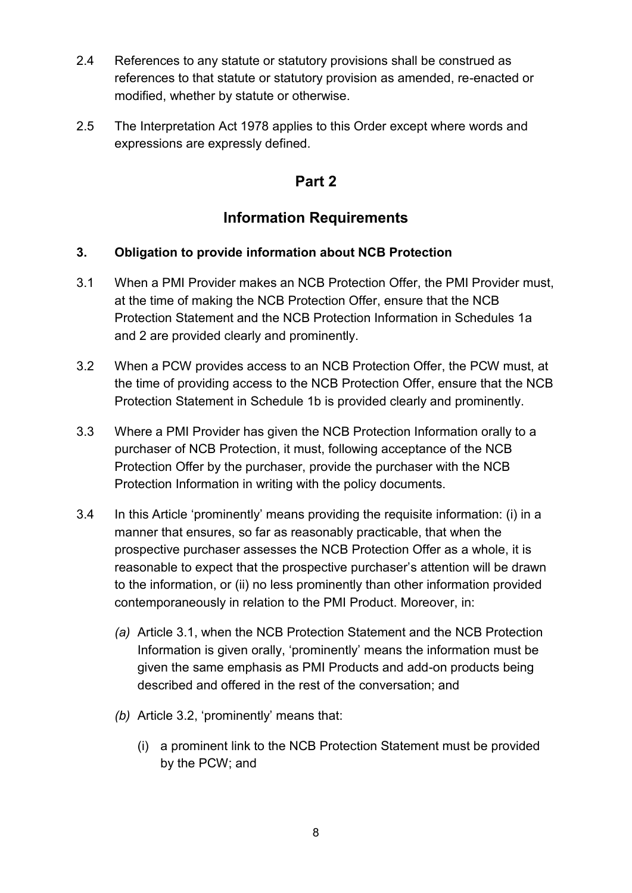- 2.4 References to any statute or statutory provisions shall be construed as references to that statute or statutory provision as amended, re-enacted or modified, whether by statute or otherwise.
- 2.5 The Interpretation Act 1978 applies to this Order except where words and expressions are expressly defined.

## **Part 2**

## **Information Requirements**

### **3. Obligation to provide information about NCB Protection**

- 3.1 When a PMI Provider makes an NCB Protection Offer, the PMI Provider must, at the time of making the NCB Protection Offer, ensure that the NCB Protection Statement and the NCB Protection Information in Schedules 1a and 2 are provided clearly and prominently.
- 3.2 When a PCW provides access to an NCB Protection Offer, the PCW must, at the time of providing access to the NCB Protection Offer, ensure that the NCB Protection Statement in Schedule 1b is provided clearly and prominently.
- 3.3 Where a PMI Provider has given the NCB Protection Information orally to a purchaser of NCB Protection, it must, following acceptance of the NCB Protection Offer by the purchaser, provide the purchaser with the NCB Protection Information in writing with the policy documents.
- 3.4 In this Article 'prominently' means providing the requisite information: (i) in a manner that ensures, so far as reasonably practicable, that when the prospective purchaser assesses the NCB Protection Offer as a whole, it is reasonable to expect that the prospective purchaser's attention will be drawn to the information, or (ii) no less prominently than other information provided contemporaneously in relation to the PMI Product. Moreover, in:
	- *(a)* Article 3.1, when the NCB Protection Statement and the NCB Protection Information is given orally, 'prominently' means the information must be given the same emphasis as PMI Products and add-on products being described and offered in the rest of the conversation; and
	- *(b)* Article 3.2, 'prominently' means that:
		- (i) a prominent link to the NCB Protection Statement must be provided by the PCW; and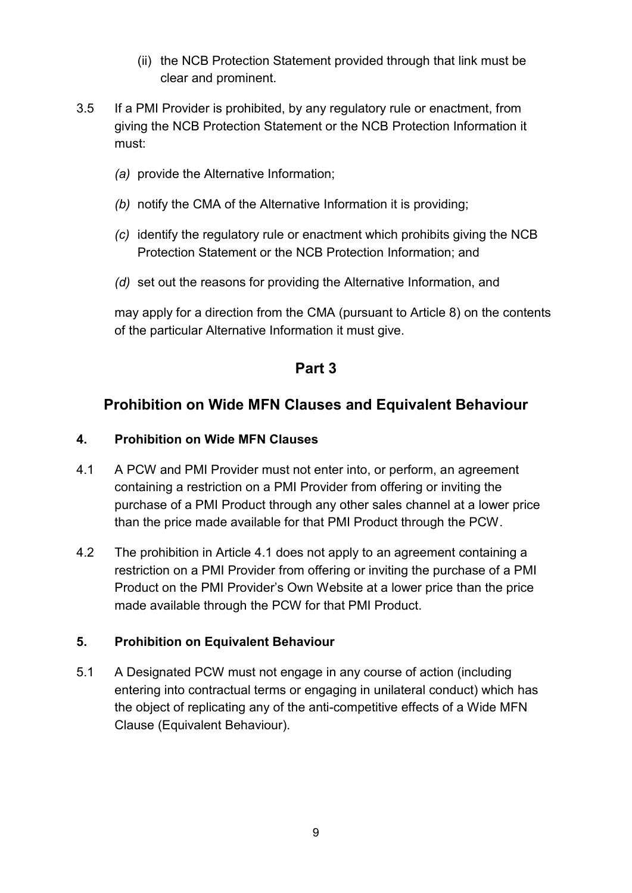- (ii) the NCB Protection Statement provided through that link must be clear and prominent.
- 3.5 If a PMI Provider is prohibited, by any regulatory rule or enactment, from giving the NCB Protection Statement or the NCB Protection Information it must:
	- *(a)* provide the Alternative Information;
	- *(b)* notify the CMA of the Alternative Information it is providing;
	- *(c)* identify the regulatory rule or enactment which prohibits giving the NCB Protection Statement or the NCB Protection Information; and
	- *(d)* set out the reasons for providing the Alternative Information, and

may apply for a direction from the CMA (pursuant to Article 8) on the contents of the particular Alternative Information it must give.

### **Part 3**

## **Prohibition on Wide MFN Clauses and Equivalent Behaviour**

#### **4. Prohibition on Wide MFN Clauses**

- 4.1 A PCW and PMI Provider must not enter into, or perform, an agreement containing a restriction on a PMI Provider from offering or inviting the purchase of a PMI Product through any other sales channel at a lower price than the price made available for that PMI Product through the PCW.
- 4.2 The prohibition in Article 4.1 does not apply to an agreement containing a restriction on a PMI Provider from offering or inviting the purchase of a PMI Product on the PMI Provider's Own Website at a lower price than the price made available through the PCW for that PMI Product.

#### **5. Prohibition on Equivalent Behaviour**

5.1 A Designated PCW must not engage in any course of action (including entering into contractual terms or engaging in unilateral conduct) which has the object of replicating any of the anti-competitive effects of a Wide MFN Clause (Equivalent Behaviour).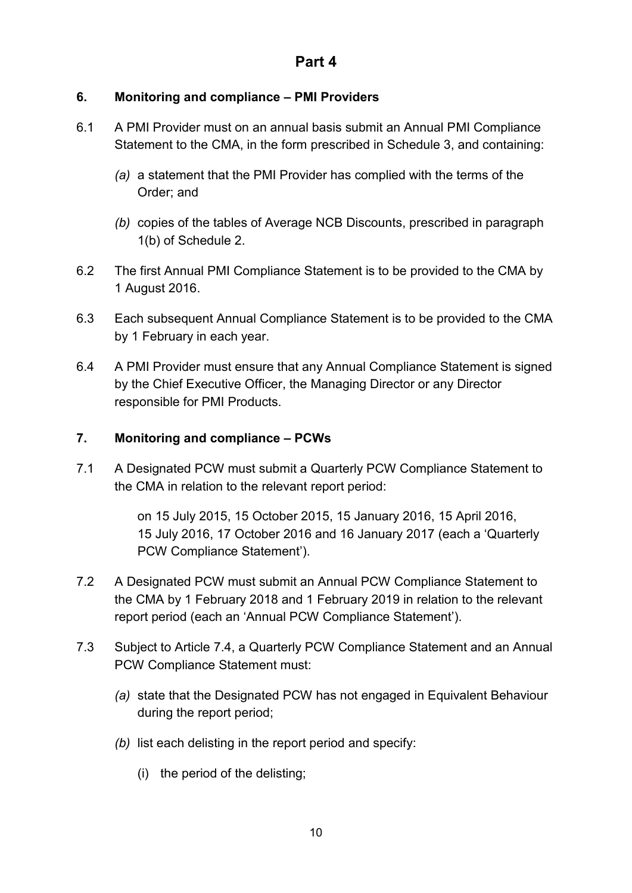#### **6. Monitoring and compliance – PMI Providers**

- 6.1 A PMI Provider must on an annual basis submit an Annual PMI Compliance Statement to the CMA, in the form prescribed in Schedule 3, and containing:
	- *(a)* a statement that the PMI Provider has complied with the terms of the Order; and
	- *(b)* copies of the tables of Average NCB Discounts, prescribed in paragraph 1(b) of Schedule 2.
- 6.2 The first Annual PMI Compliance Statement is to be provided to the CMA by 1 August 2016.
- 6.3 Each subsequent Annual Compliance Statement is to be provided to the CMA by 1 February in each year.
- 6.4 A PMI Provider must ensure that any Annual Compliance Statement is signed by the Chief Executive Officer, the Managing Director or any Director responsible for PMI Products.

#### **7. Monitoring and compliance – PCWs**

<span id="page-9-2"></span>7.1 A Designated PCW must submit a Quarterly PCW Compliance Statement to the CMA in relation to the relevant report period:

> on 15 July 2015, 15 October 2015, 15 January 2016, 15 April 2016, 15 July 2016, 17 October 2016 and 16 January 2017 (each a 'Quarterly PCW Compliance Statement').

- <span id="page-9-1"></span>7.2 A Designated PCW must submit an Annual PCW Compliance Statement to the CMA by 1 February 2018 and 1 February 2019 in relation to the relevant report period (each an 'Annual PCW Compliance Statement').
- <span id="page-9-0"></span>7.3 Subject to Article 7.4, a Quarterly PCW Compliance Statement and an Annual PCW Compliance Statement must:
	- *(a)* state that the Designated PCW has not engaged in Equivalent Behaviour during the report period;
	- *(b)* list each delisting in the report period and specify:
		- (i) the period of the delisting;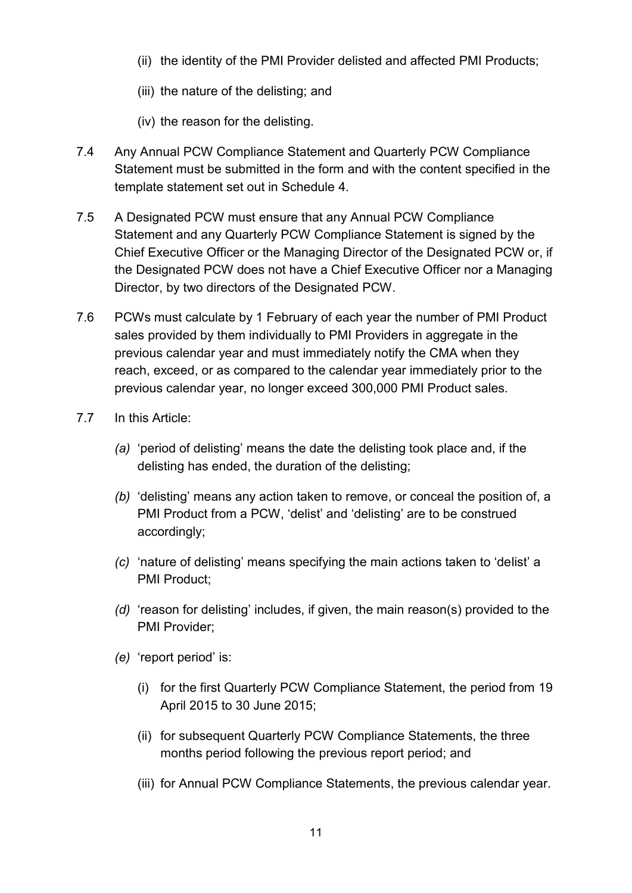- (ii) the identity of the PMI Provider delisted and affected PMI Products;
- (iii) the nature of the delisting; and
- (iv) the reason for the delisting.
- 7.4 Any Annual PCW Compliance Statement and Quarterly PCW Compliance Statement must be submitted in the form and with the content specified in the template statement set out in Schedule 4.
- 7.5 A Designated PCW must ensure that any Annual PCW Compliance Statement and any Quarterly PCW Compliance Statement is signed by the Chief Executive Officer or the Managing Director of the Designated PCW or, if the Designated PCW does not have a Chief Executive Officer nor a Managing Director, by two directors of the Designated PCW.
- 7.6 PCWs must calculate by 1 February of each year the number of PMI Product sales provided by them individually to PMI Providers in aggregate in the previous calendar year and must immediately notify the CMA when they reach, exceed, or as compared to the calendar year immediately prior to the previous calendar year, no longer exceed 300,000 PMI Product sales.
- 7.7 In this Article:
	- *(a)* 'period of delisting' means the date the delisting took place and, if the delisting has ended, the duration of the delisting;
	- *(b)* 'delisting' means any action taken to remove, or conceal the position of, a PMI Product from a PCW, 'delist' and 'delisting' are to be construed accordingly;
	- *(c)* 'nature of delisting' means specifying the main actions taken to 'delist' a PMI Product;
	- *(d)* 'reason for delisting' includes, if given, the main reason(s) provided to the PMI Provider;
	- *(e)* 'report period' is:
		- (i) for the first Quarterly PCW Compliance Statement, the period from 19 April 2015 to 30 June 2015;
		- (ii) for subsequent Quarterly PCW Compliance Statements, the three months period following the previous report period; and
		- (iii) for Annual PCW Compliance Statements, the previous calendar year.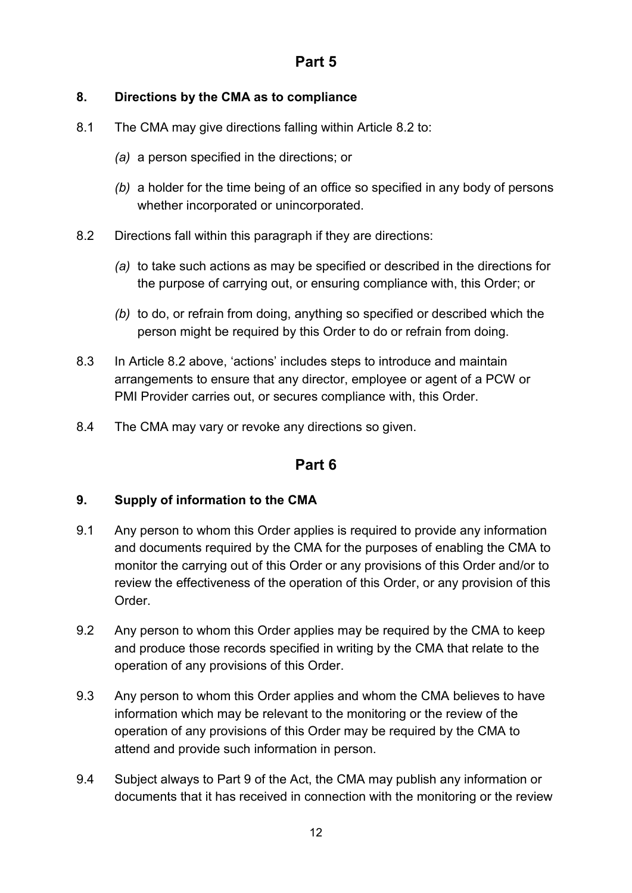#### **8. Directions by the CMA as to compliance**

- 8.1 The CMA may give directions falling within Article 8.2 to:
	- *(a)* a person specified in the directions; or
	- *(b)* a holder for the time being of an office so specified in any body of persons whether incorporated or unincorporated.
- 8.2 Directions fall within this paragraph if they are directions:
	- *(a)* to take such actions as may be specified or described in the directions for the purpose of carrying out, or ensuring compliance with, this Order; or
	- *(b)* to do, or refrain from doing, anything so specified or described which the person might be required by this Order to do or refrain from doing.
- 8.3 In Article 8.2 above, 'actions' includes steps to introduce and maintain arrangements to ensure that any director, employee or agent of a PCW or PMI Provider carries out, or secures compliance with, this Order.
- 8.4 The CMA may vary or revoke any directions so given.

### **Part 6**

#### **9. Supply of information to the CMA**

- 9.1 Any person to whom this Order applies is required to provide any information and documents required by the CMA for the purposes of enabling the CMA to monitor the carrying out of this Order or any provisions of this Order and/or to review the effectiveness of the operation of this Order, or any provision of this Order.
- 9.2 Any person to whom this Order applies may be required by the CMA to keep and produce those records specified in writing by the CMA that relate to the operation of any provisions of this Order.
- 9.3 Any person to whom this Order applies and whom the CMA believes to have information which may be relevant to the monitoring or the review of the operation of any provisions of this Order may be required by the CMA to attend and provide such information in person.
- 9.4 Subject always to Part 9 of the Act, the CMA may publish any information or documents that it has received in connection with the monitoring or the review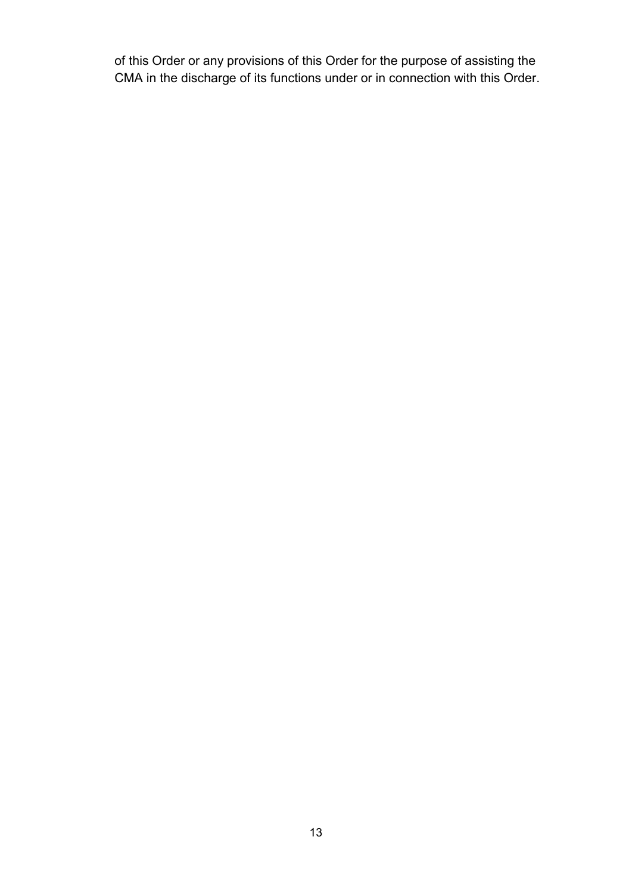of this Order or any provisions of this Order for the purpose of assisting the CMA in the discharge of its functions under or in connection with this Order.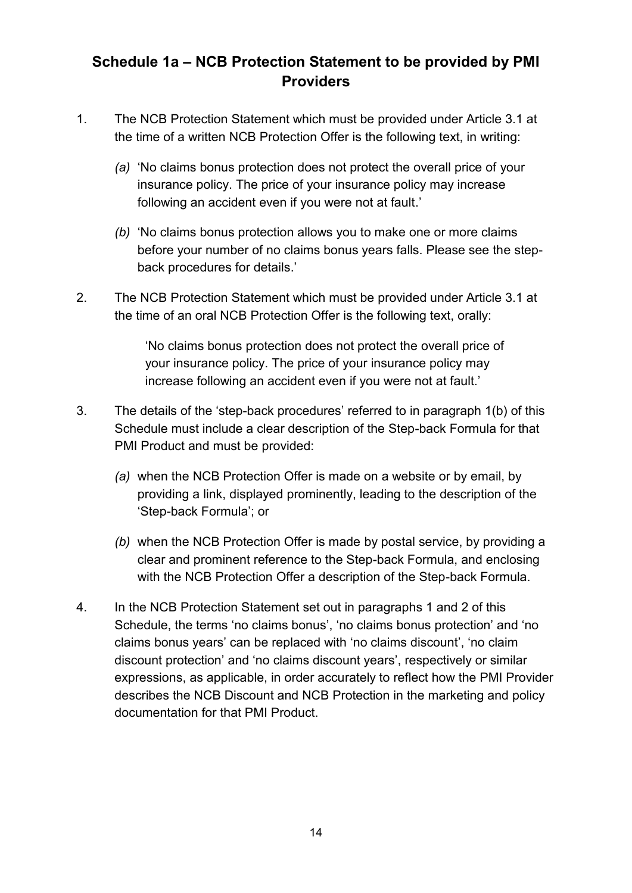## **Schedule 1a – NCB Protection Statement to be provided by PMI Providers**

- 1. The NCB Protection Statement which must be provided under Article 3.1 at the time of a written NCB Protection Offer is the following text, in writing:
	- *(a)* 'No claims bonus protection does not protect the overall price of your insurance policy. The price of your insurance policy may increase following an accident even if you were not at fault.'
	- *(b)* 'No claims bonus protection allows you to make one or more claims before your number of no claims bonus years falls. Please see the stepback procedures for details.'
- 2. The NCB Protection Statement which must be provided under Article 3.1 at the time of an oral NCB Protection Offer is the following text, orally:

'No claims bonus protection does not protect the overall price of your insurance policy. The price of your insurance policy may increase following an accident even if you were not at fault.'

- 3. The details of the 'step-back procedures' referred to in paragraph 1(b) of this Schedule must include a clear description of the Step-back Formula for that PMI Product and must be provided:
	- *(a)* when the NCB Protection Offer is made on a website or by email, by providing a link, displayed prominently, leading to the description of the 'Step-back Formula'; or
	- *(b)* when the NCB Protection Offer is made by postal service, by providing a clear and prominent reference to the Step-back Formula, and enclosing with the NCB Protection Offer a description of the Step-back Formula.
- 4. In the NCB Protection Statement set out in paragraphs 1 and 2 of this Schedule, the terms 'no claims bonus', 'no claims bonus protection' and 'no claims bonus years' can be replaced with 'no claims discount', 'no claim discount protection' and 'no claims discount years', respectively or similar expressions, as applicable, in order accurately to reflect how the PMI Provider describes the NCB Discount and NCB Protection in the marketing and policy documentation for that PMI Product.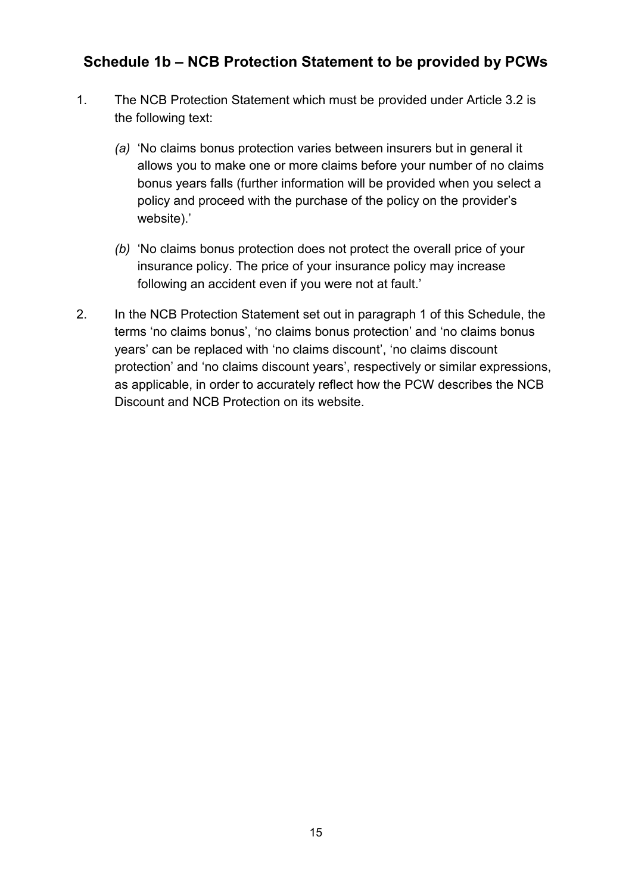## **Schedule 1b – NCB Protection Statement to be provided by PCWs**

- 1. The NCB Protection Statement which must be provided under Article 3.2 is the following text:
	- *(a)* 'No claims bonus protection varies between insurers but in general it allows you to make one or more claims before your number of no claims bonus years falls (further information will be provided when you select a policy and proceed with the purchase of the policy on the provider's website).'
	- *(b)* 'No claims bonus protection does not protect the overall price of your insurance policy. The price of your insurance policy may increase following an accident even if you were not at fault.'
- 2. In the NCB Protection Statement set out in paragraph 1 of this Schedule, the terms 'no claims bonus', 'no claims bonus protection' and 'no claims bonus years' can be replaced with 'no claims discount', 'no claims discount protection' and 'no claims discount years', respectively or similar expressions, as applicable, in order to accurately reflect how the PCW describes the NCB Discount and NCB Protection on its website.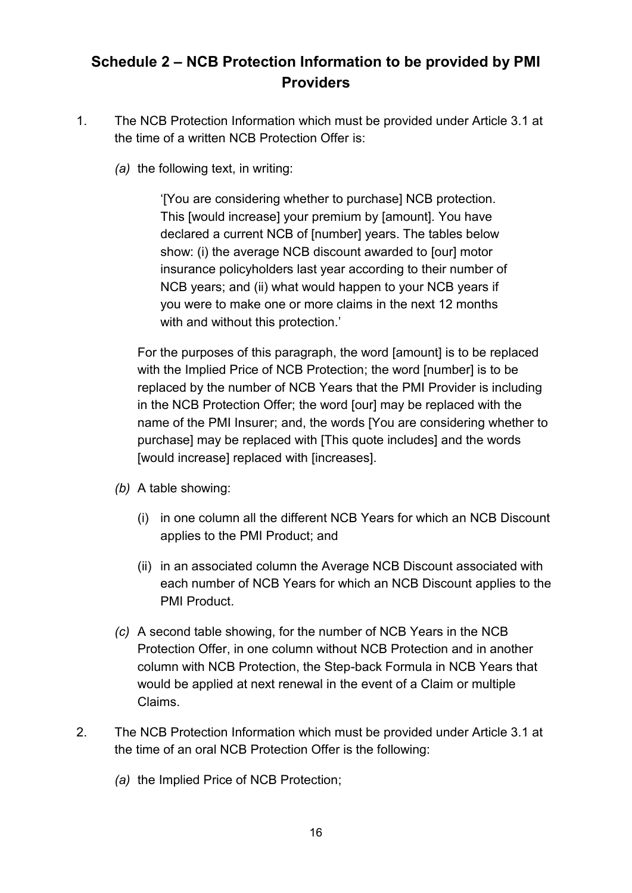## **Schedule 2 – NCB Protection Information to be provided by PMI Providers**

- 1. The NCB Protection Information which must be provided under Article 3.1 at the time of a written NCB Protection Offer is:
	- *(a)* the following text, in writing:

'[You are considering whether to purchase] NCB protection. This [would increase] your premium by [amount]. You have declared a current NCB of [number] years. The tables below show: (i) the average NCB discount awarded to [our] motor insurance policyholders last year according to their number of NCB years; and (ii) what would happen to your NCB years if you were to make one or more claims in the next 12 months with and without this protection.'

For the purposes of this paragraph, the word [amount] is to be replaced with the Implied Price of NCB Protection; the word [number] is to be replaced by the number of NCB Years that the PMI Provider is including in the NCB Protection Offer; the word [our] may be replaced with the name of the PMI Insurer; and, the words [You are considering whether to purchase] may be replaced with [This quote includes] and the words [would increase] replaced with [increases].

- *(b)* A table showing:
	- (i) in one column all the different NCB Years for which an NCB Discount applies to the PMI Product; and
	- (ii) in an associated column the Average NCB Discount associated with each number of NCB Years for which an NCB Discount applies to the PMI Product.
- *(c)* A second table showing, for the number of NCB Years in the NCB Protection Offer, in one column without NCB Protection and in another column with NCB Protection, the Step-back Formula in NCB Years that would be applied at next renewal in the event of a Claim or multiple Claims.
- 2. The NCB Protection Information which must be provided under Article 3.1 at the time of an oral NCB Protection Offer is the following:
	- *(a)* the Implied Price of NCB Protection;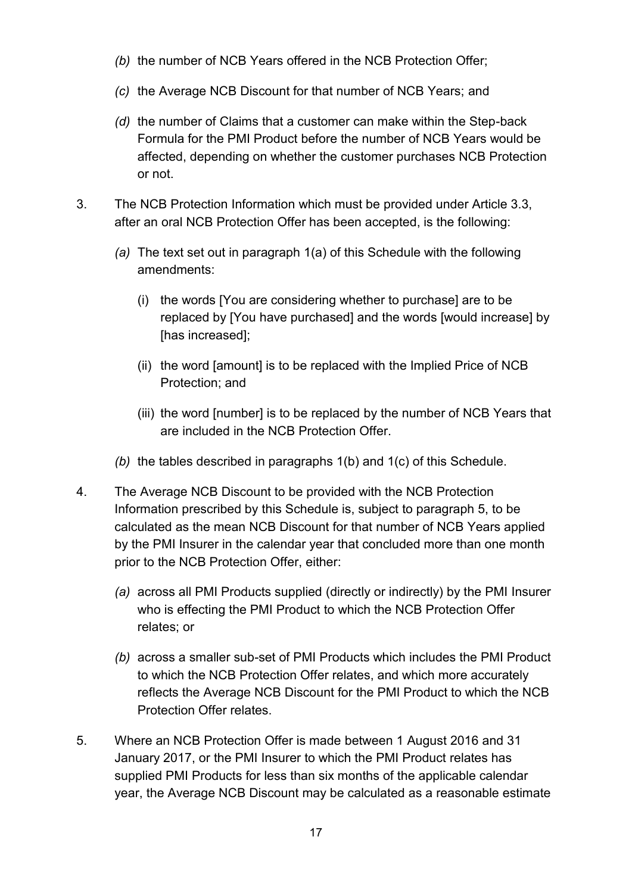- *(b)* the number of NCB Years offered in the NCB Protection Offer;
- *(c)* the Average NCB Discount for that number of NCB Years; and
- *(d)* the number of Claims that a customer can make within the Step-back Formula for the PMI Product before the number of NCB Years would be affected, depending on whether the customer purchases NCB Protection or not.
- 3. The NCB Protection Information which must be provided under Article 3.3, after an oral NCB Protection Offer has been accepted, is the following:
	- *(a)* The text set out in paragraph 1(a) of this Schedule with the following amendments:
		- (i) the words [You are considering whether to purchase] are to be replaced by [You have purchased] and the words [would increase] by [has increased];
		- (ii) the word [amount] is to be replaced with the Implied Price of NCB Protection; and
		- (iii) the word [number] is to be replaced by the number of NCB Years that are included in the NCB Protection Offer.
	- *(b)* the tables described in paragraphs 1(b) and 1(c) of this Schedule.
- 4. The Average NCB Discount to be provided with the NCB Protection Information prescribed by this Schedule is, subject to paragraph 5, to be calculated as the mean NCB Discount for that number of NCB Years applied by the PMI Insurer in the calendar year that concluded more than one month prior to the NCB Protection Offer, either:
	- *(a)* across all PMI Products supplied (directly or indirectly) by the PMI Insurer who is effecting the PMI Product to which the NCB Protection Offer relates; or
	- *(b)* across a smaller sub-set of PMI Products which includes the PMI Product to which the NCB Protection Offer relates, and which more accurately reflects the Average NCB Discount for the PMI Product to which the NCB Protection Offer relates.
- 5. Where an NCB Protection Offer is made between 1 August 2016 and 31 January 2017, or the PMI Insurer to which the PMI Product relates has supplied PMI Products for less than six months of the applicable calendar year, the Average NCB Discount may be calculated as a reasonable estimate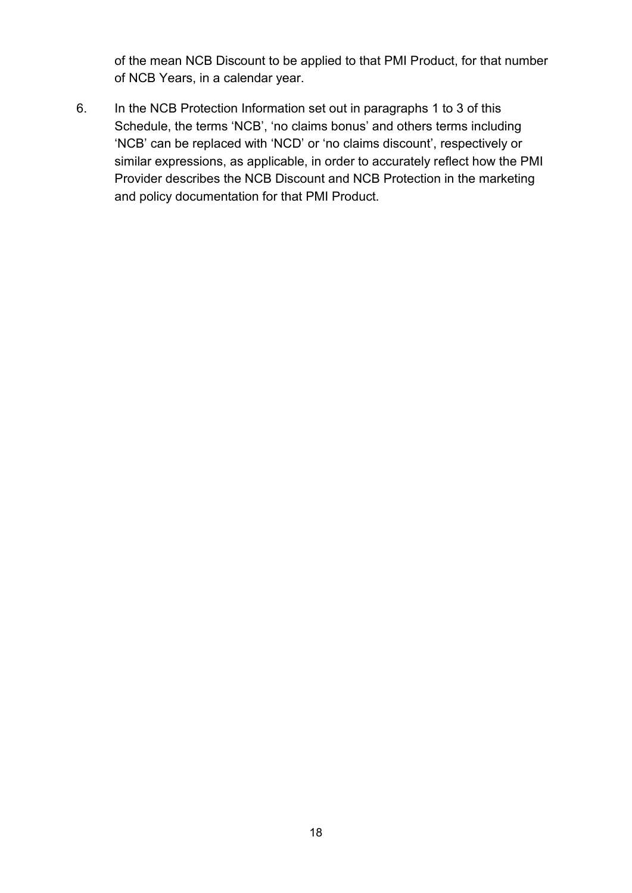of the mean NCB Discount to be applied to that PMI Product, for that number of NCB Years, in a calendar year.

6. In the NCB Protection Information set out in paragraphs 1 to 3 of this Schedule, the terms 'NCB', 'no claims bonus' and others terms including 'NCB' can be replaced with 'NCD' or 'no claims discount', respectively or similar expressions, as applicable, in order to accurately reflect how the PMI Provider describes the NCB Discount and NCB Protection in the marketing and policy documentation for that PMI Product.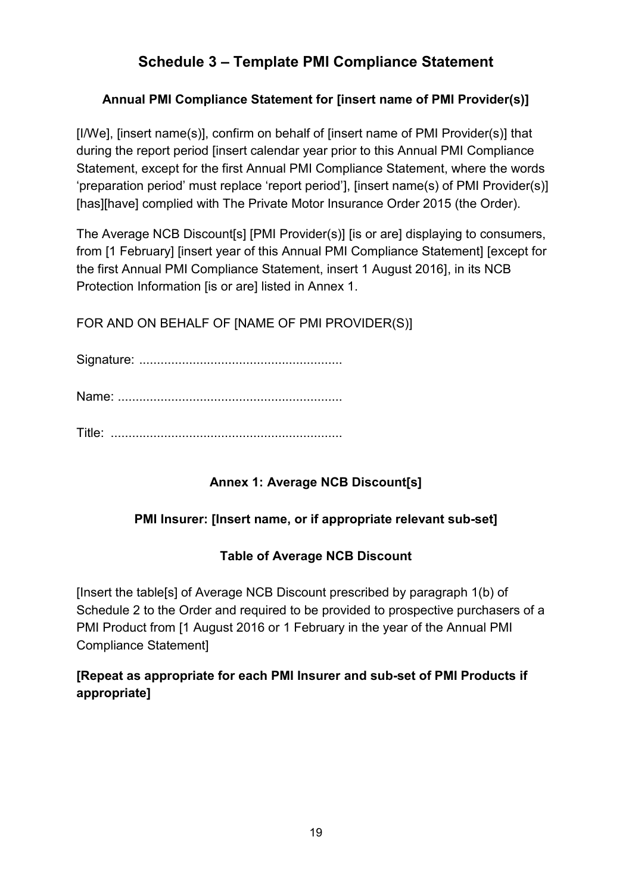## **Schedule 3 – Template PMI Compliance Statement**

### **Annual PMI Compliance Statement for [insert name of PMI Provider(s)]**

[I/We], [insert name(s)], confirm on behalf of [insert name of PMI Provider(s)] that during the report period [insert calendar year prior to this Annual PMI Compliance Statement, except for the first Annual PMI Compliance Statement, where the words 'preparation period' must replace 'report period'], [insert name(s) of PMI Provider(s)] [has][have] complied with The Private Motor Insurance Order 2015 (the Order).

The Average NCB Discount[s] [PMI Provider(s)] [is or are] displaying to consumers, from [1 February] [insert year of this Annual PMI Compliance Statement] [except for the first Annual PMI Compliance Statement, insert 1 August 2016], in its NCB Protection Information [is or are] listed in Annex 1.

FOR AND ON BEHALF OF [NAME OF PMI PROVIDER(S)]

Signature: .........................................................

Name: ...............................................................

Title: .................................................................

## **Annex 1: Average NCB Discount[s]**

### **PMI Insurer: [Insert name, or if appropriate relevant sub-set]**

### **Table of Average NCB Discount**

[Insert the table[s] of Average NCB Discount prescribed by paragraph 1(b) of Schedule 2 to the Order and required to be provided to prospective purchasers of a PMI Product from [1 August 2016 or 1 February in the year of the Annual PMI Compliance Statement]

### **[Repeat as appropriate for each PMI Insurer and sub-set of PMI Products if appropriate]**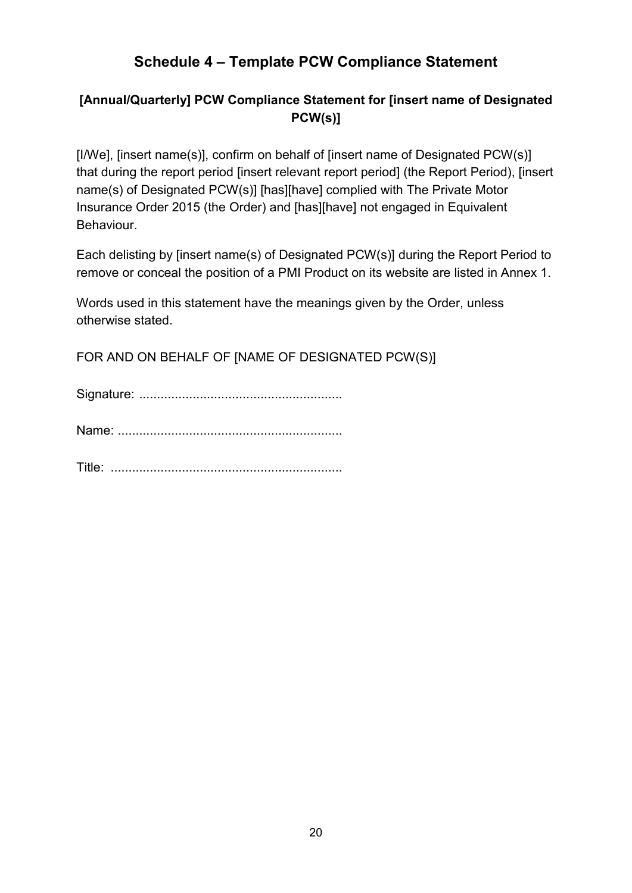## **Schedule 4 – Template PCW Compliance Statement**

### **[Annual/Quarterly] PCW Compliance Statement for [insert name of Designated PCW(s)]**

[I/We], [insert name(s)], confirm on behalf of [insert name of Designated PCW(s)] that during the report period [insert relevant report period] (the Report Period), [insert name(s) of Designated PCW(s)] [has][have] complied with The Private Motor Insurance Order 2015 (the Order) and [has][have] not engaged in Equivalent Behaviour.

Each delisting by [insert name(s) of Designated PCW(s)] during the Report Period to remove or conceal the position of a PMI Product on its website are listed in Annex 1.

Words used in this statement have the meanings given by the Order, unless otherwise stated.

FOR AND ON BEHALF OF [NAME OF DESIGNATED PCW(S)]

Signature: .........................................................

Name: ...............................................................

Title: .................................................................